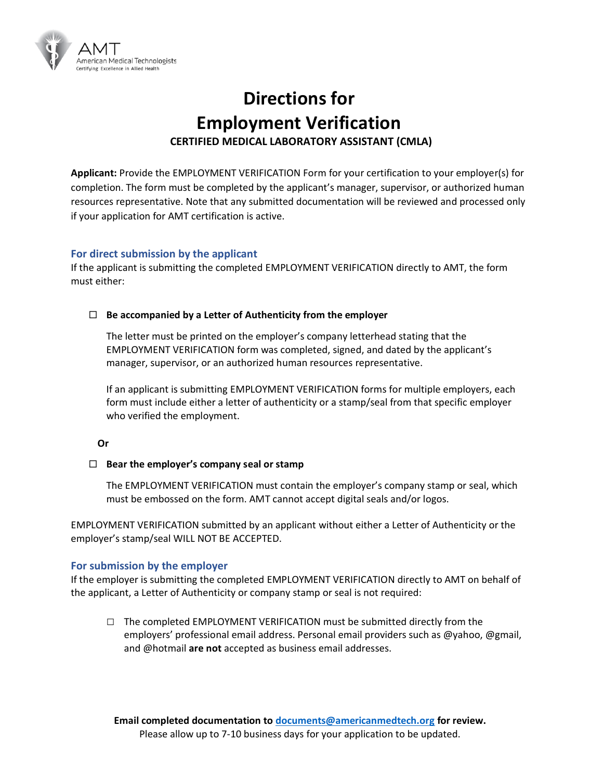

# **Directions for Employment Verification CERTIFIED MEDICAL LABORATORY ASSISTANT (CMLA)**

**Applicant:** Provide the EMPLOYMENT VERIFICATION Form for your certification to your employer(s) for completion. The form must be completed by the applicant's manager, supervisor, or authorized human resources representative. Note that any submitted documentation will be reviewed and processed only if your application for AMT certification is active.

### **For direct submission by the applicant**

If the applicant is submitting the completed EMPLOYMENT VERIFICATION directly to AMT, the form must either:

#### **Be accompanied by a Letter of Authenticity from the employer**

The letter must be printed on the employer's company letterhead stating that the EMPLOYMENT VERIFICATION form was completed, signed, and dated by the applicant's manager, supervisor, or an authorized human resources representative.

If an applicant is submitting EMPLOYMENT VERIFICATION forms for multiple employers, each form must include either a letter of authenticity or a stamp/seal from that specific employer who verified the employment.

#### **Or**

#### **Bear the employer's company seal or stamp**

The EMPLOYMENT VERIFICATION must contain the employer's company stamp or seal, which must be embossed on the form. AMT cannot accept digital seals and/or logos.

EMPLOYMENT VERIFICATION submitted by an applicant without either a Letter of Authenticity or the employer's stamp/seal WILL NOT BE ACCEPTED.

#### **For submission by the employer**

If the employer is submitting the completed EMPLOYMENT VERIFICATION directly to AMT on behalf of the applicant, a Letter of Authenticity or company stamp or seal is not required:

**□** The completed EMPLOYMENT VERIFICATION must be submitted directly from the employers' professional email address. Personal email providers such as @yahoo, @gmail, and @hotmail **are not** accepted as business email addresses.